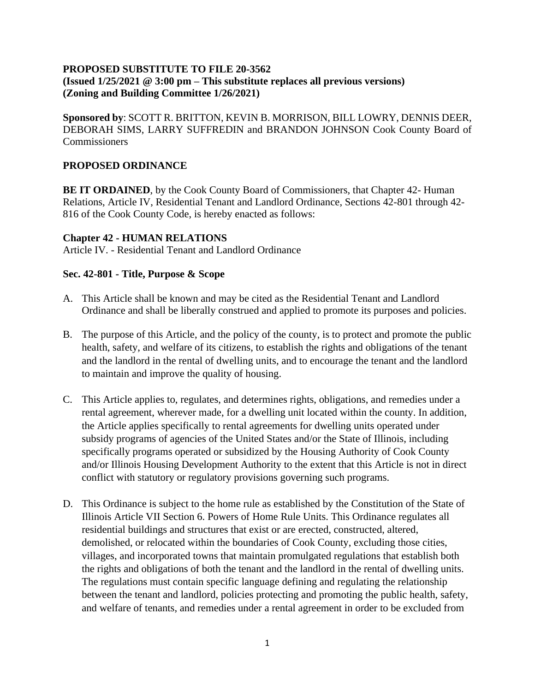### **PROPOSED SUBSTITUTE TO FILE 20-3562 (Issued 1/25/2021 @ 3:00 pm – This substitute replaces all previous versions) (Zoning and Building Committee 1/26/2021)**

**Sponsored by**: SCOTT R. BRITTON, KEVIN B. MORRISON, BILL LOWRY, DENNIS DEER, DEBORAH SIMS, LARRY SUFFREDIN and BRANDON JOHNSON Cook County Board of **Commissioners** 

### **PROPOSED ORDINANCE**

**BE IT ORDAINED**, by the Cook County Board of Commissioners, that Chapter 42- Human Relations, Article IV, Residential Tenant and Landlord Ordinance, Sections 42-801 through 42- 816 of the Cook County Code, is hereby enacted as follows:

#### **Chapter 42 - HUMAN RELATIONS**

Article IV. - Residential Tenant and Landlord Ordinance

### **Sec. 42-801 - Title, Purpose & Scope**

- A. This Article shall be known and may be cited as the Residential Tenant and Landlord Ordinance and shall be liberally construed and applied to promote its purposes and policies.
- B. The purpose of this Article, and the policy of the county, is to protect and promote the public health, safety, and welfare of its citizens, to establish the rights and obligations of the tenant and the landlord in the rental of dwelling units, and to encourage the tenant and the landlord to maintain and improve the quality of housing.
- C. This Article applies to, regulates, and determines rights, obligations, and remedies under a rental agreement, wherever made, for a dwelling unit located within the county. In addition, the Article applies specifically to rental agreements for dwelling units operated under subsidy programs of agencies of the United States and/or the State of Illinois, including specifically programs operated or subsidized by the Housing Authority of Cook County and/or Illinois Housing Development Authority to the extent that this Article is not in direct conflict with statutory or regulatory provisions governing such programs.
- D. This Ordinance is subject to the home rule as established by the Constitution of the State of Illinois Article VII Section 6. Powers of Home Rule Units. This Ordinance regulates all residential buildings and structures that exist or are erected, constructed, altered, demolished, or relocated within the boundaries of Cook County, excluding those cities, villages, and incorporated towns that maintain promulgated regulations that establish both the rights and obligations of both the tenant and the landlord in the rental of dwelling units. The regulations must contain specific language defining and regulating the relationship between the tenant and landlord, policies protecting and promoting the public health, safety, and welfare of tenants, and remedies under a rental agreement in order to be excluded from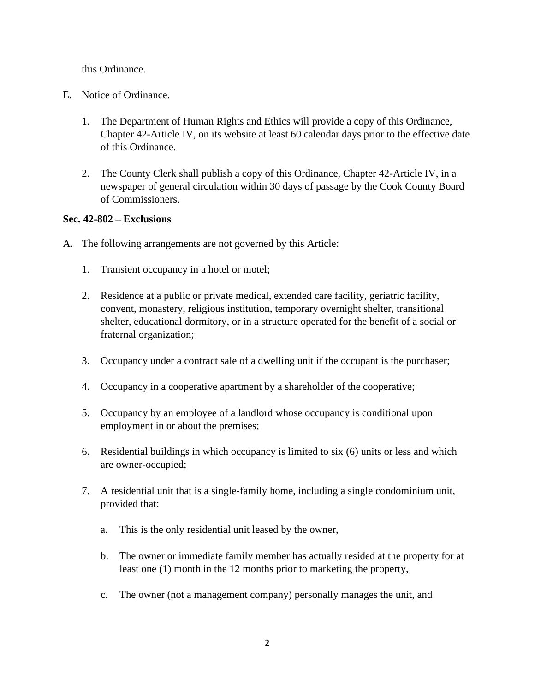this Ordinance.

- E. Notice of Ordinance.
	- 1. The Department of Human Rights and Ethics will provide a copy of this Ordinance, Chapter 42-Article IV, on its website at least 60 calendar days prior to the effective date of this Ordinance.
	- 2. The County Clerk shall publish a copy of this Ordinance, Chapter 42-Article IV, in a newspaper of general circulation within 30 days of passage by the Cook County Board of Commissioners.

### **Sec. 42-802 – Exclusions**

- A. The following arrangements are not governed by this Article:
	- 1. Transient occupancy in a hotel or motel;
	- 2. Residence at a public or private medical, extended care facility, geriatric facility, convent, monastery, religious institution, temporary overnight shelter, transitional shelter, educational dormitory, or in a structure operated for the benefit of a social or fraternal organization;
	- 3. Occupancy under a contract sale of a dwelling unit if the occupant is the purchaser;
	- 4. Occupancy in a cooperative apartment by a shareholder of the cooperative;
	- 5. Occupancy by an employee of a landlord whose occupancy is conditional upon employment in or about the premises;
	- 6. Residential buildings in which occupancy is limited to six (6) units or less and which are owner-occupied;
	- 7. A residential unit that is a single-family home, including a single condominium unit, provided that:
		- a. This is the only residential unit leased by the owner,
		- b. The owner or immediate family member has actually resided at the property for at least one (1) month in the 12 months prior to marketing the property,
		- c. The owner (not a management company) personally manages the unit, and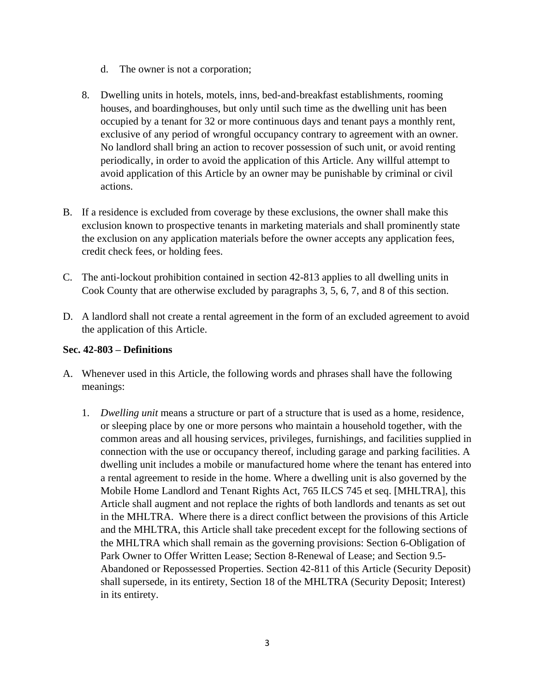- d. The owner is not a corporation;
- 8. Dwelling units in hotels, motels, inns, bed-and-breakfast establishments, rooming houses, and boardinghouses, but only until such time as the dwelling unit has been occupied by a tenant for 32 or more continuous days and tenant pays a monthly rent, exclusive of any period of wrongful occupancy contrary to agreement with an owner. No landlord shall bring an action to recover possession of such unit, or avoid renting periodically, in order to avoid the application of this Article. Any willful attempt to avoid application of this Article by an owner may be punishable by criminal or civil actions.
- B. If a residence is excluded from coverage by these exclusions, the owner shall make this exclusion known to prospective tenants in marketing materials and shall prominently state the exclusion on any application materials before the owner accepts any application fees, credit check fees, or holding fees.
- C. The anti-lockout prohibition contained in section 42-813 applies to all dwelling units in Cook County that are otherwise excluded by paragraphs 3, 5, 6, 7, and 8 of this section.
- D. A landlord shall not create a rental agreement in the form of an excluded agreement to avoid the application of this Article.

### **Sec. 42-803 – Definitions**

- A. Whenever used in this Article, the following words and phrases shall have the following meanings:
	- 1. *Dwelling unit* means a structure or part of a structure that is used as a home, residence, or sleeping place by one or more persons who maintain a household together, with the common areas and all housing services, privileges, furnishings, and facilities supplied in connection with the use or occupancy thereof, including garage and parking facilities. A dwelling unit includes a mobile or manufactured home where the tenant has entered into a rental agreement to reside in the home. Where a dwelling unit is also governed by the Mobile Home Landlord and Tenant Rights Act, 765 ILCS 745 et seq. [MHLTRA], this Article shall augment and not replace the rights of both landlords and tenants as set out in the MHLTRA. Where there is a direct conflict between the provisions of this Article and the MHLTRA, this Article shall take precedent except for the following sections of the MHLTRA which shall remain as the governing provisions: Section 6-Obligation of Park Owner to Offer Written Lease; Section 8-Renewal of Lease; and Section 9.5- Abandoned or Repossessed Properties. Section 42-811 of this Article (Security Deposit) shall supersede, in its entirety, Section 18 of the MHLTRA (Security Deposit; Interest) in its entirety.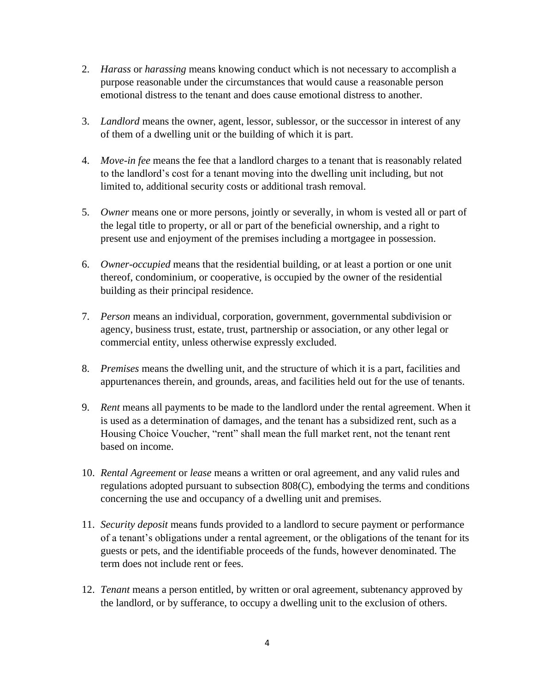- 2. *Harass* or *harassing* means knowing conduct which is not necessary to accomplish a purpose reasonable under the circumstances that would cause a reasonable person emotional distress to the tenant and does cause emotional distress to another.
- 3. *Landlord* means the owner, agent, lessor, sublessor, or the successor in interest of any of them of a dwelling unit or the building of which it is part.
- 4. *Move-in fee* means the fee that a landlord charges to a tenant that is reasonably related to the landlord's cost for a tenant moving into the dwelling unit including, but not limited to, additional security costs or additional trash removal.
- 5. *Owner* means one or more persons, jointly or severally, in whom is vested all or part of the legal title to property, or all or part of the beneficial ownership, and a right to present use and enjoyment of the premises including a mortgagee in possession.
- 6. *Owner-occupied* means that the residential building, or at least a portion or one unit thereof, condominium, or cooperative, is occupied by the owner of the residential building as their principal residence.
- 7. *Person* means an individual, corporation, government, governmental subdivision or agency, business trust, estate, trust, partnership or association, or any other legal or commercial entity, unless otherwise expressly excluded.
- 8. *Premises* means the dwelling unit, and the structure of which it is a part, facilities and appurtenances therein, and grounds, areas, and facilities held out for the use of tenants.
- 9. *Rent* means all payments to be made to the landlord under the rental agreement. When it is used as a determination of damages, and the tenant has a subsidized rent, such as a Housing Choice Voucher, "rent" shall mean the full market rent, not the tenant rent based on income.
- 10. *Rental Agreement* or *lease* means a written or oral agreement, and any valid rules and regulations adopted pursuant to subsection 808(C), embodying the terms and conditions concerning the use and occupancy of a dwelling unit and premises.
- 11. *Security deposit* means funds provided to a landlord to secure payment or performance of a tenant's obligations under a rental agreement, or the obligations of the tenant for its guests or pets, and the identifiable proceeds of the funds, however denominated. The term does not include rent or fees.
- 12. *Tenant* means a person entitled, by written or oral agreement, subtenancy approved by the landlord, or by sufferance, to occupy a dwelling unit to the exclusion of others.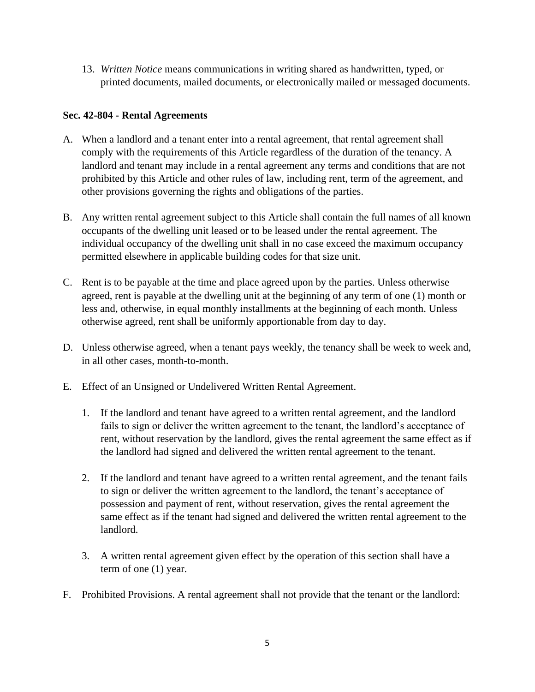13. *Written Notice* means communications in writing shared as handwritten, typed, or printed documents, mailed documents, or electronically mailed or messaged documents.

## **Sec. 42-804 - Rental Agreements**

- A. When a landlord and a tenant enter into a rental agreement, that rental agreement shall comply with the requirements of this Article regardless of the duration of the tenancy. A landlord and tenant may include in a rental agreement any terms and conditions that are not prohibited by this Article and other rules of law, including rent, term of the agreement, and other provisions governing the rights and obligations of the parties.
- B. Any written rental agreement subject to this Article shall contain the full names of all known occupants of the dwelling unit leased or to be leased under the rental agreement. The individual occupancy of the dwelling unit shall in no case exceed the maximum occupancy permitted elsewhere in applicable building codes for that size unit.
- C. Rent is to be payable at the time and place agreed upon by the parties. Unless otherwise agreed, rent is payable at the dwelling unit at the beginning of any term of one (1) month or less and, otherwise, in equal monthly installments at the beginning of each month. Unless otherwise agreed, rent shall be uniformly apportionable from day to day.
- D. Unless otherwise agreed, when a tenant pays weekly, the tenancy shall be week to week and, in all other cases, month-to-month.
- E. Effect of an Unsigned or Undelivered Written Rental Agreement.
	- 1. If the landlord and tenant have agreed to a written rental agreement, and the landlord fails to sign or deliver the written agreement to the tenant, the landlord's acceptance of rent, without reservation by the landlord, gives the rental agreement the same effect as if the landlord had signed and delivered the written rental agreement to the tenant.
	- 2. If the landlord and tenant have agreed to a written rental agreement, and the tenant fails to sign or deliver the written agreement to the landlord, the tenant's acceptance of possession and payment of rent, without reservation, gives the rental agreement the same effect as if the tenant had signed and delivered the written rental agreement to the landlord.
	- 3. A written rental agreement given effect by the operation of this section shall have a term of one (1) year.
- F. Prohibited Provisions. A rental agreement shall not provide that the tenant or the landlord: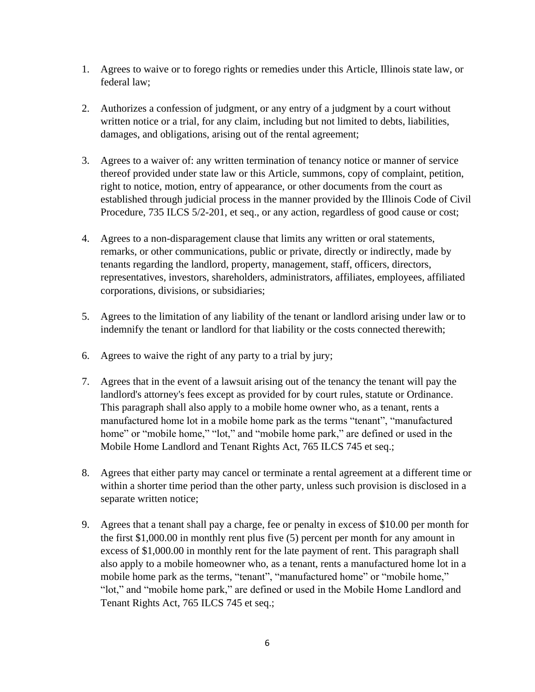- 1. Agrees to waive or to forego rights or remedies under this Article, Illinois state law, or federal law;
- 2. Authorizes a confession of judgment, or any entry of a judgment by a court without written notice or a trial, for any claim, including but not limited to debts, liabilities, damages, and obligations, arising out of the rental agreement;
- 3. Agrees to a waiver of: any written termination of tenancy notice or manner of service thereof provided under state law or this Article, summons, copy of complaint, petition, right to notice, motion, entry of appearance, or other documents from the court as established through judicial process in the manner provided by the Illinois Code of Civil Procedure, 735 ILCS 5/2-201, et seq., or any action, regardless of good cause or cost;
- 4. Agrees to a non-disparagement clause that limits any written or oral statements, remarks, or other communications, public or private, directly or indirectly, made by tenants regarding the landlord, property, management, staff, officers, directors, representatives, investors, shareholders, administrators, affiliates, employees, affiliated corporations, divisions, or subsidiaries;
- 5. Agrees to the limitation of any liability of the tenant or landlord arising under law or to indemnify the tenant or landlord for that liability or the costs connected therewith;
- 6. Agrees to waive the right of any party to a trial by jury;
- 7. Agrees that in the event of a lawsuit arising out of the tenancy the tenant will pay the landlord's attorney's fees except as provided for by court rules, statute or Ordinance. This paragraph shall also apply to a mobile home owner who, as a tenant, rents a manufactured home lot in a mobile home park as the terms "tenant", "manufactured home" or "mobile home," "lot," and "mobile home park," are defined or used in the Mobile Home Landlord and Tenant Rights Act, 765 ILCS 745 et seq.;
- 8. Agrees that either party may cancel or terminate a rental agreement at a different time or within a shorter time period than the other party, unless such provision is disclosed in a separate written notice;
- 9. Agrees that a tenant shall pay a charge, fee or penalty in excess of \$10.00 per month for the first \$1,000.00 in monthly rent plus five (5) percent per month for any amount in excess of \$1,000.00 in monthly rent for the late payment of rent. This paragraph shall also apply to a mobile homeowner who, as a tenant, rents a manufactured home lot in a mobile home park as the terms, "tenant", "manufactured home" or "mobile home," "lot," and "mobile home park," are defined or used in the Mobile Home Landlord and Tenant Rights Act, 765 ILCS 745 et seq.;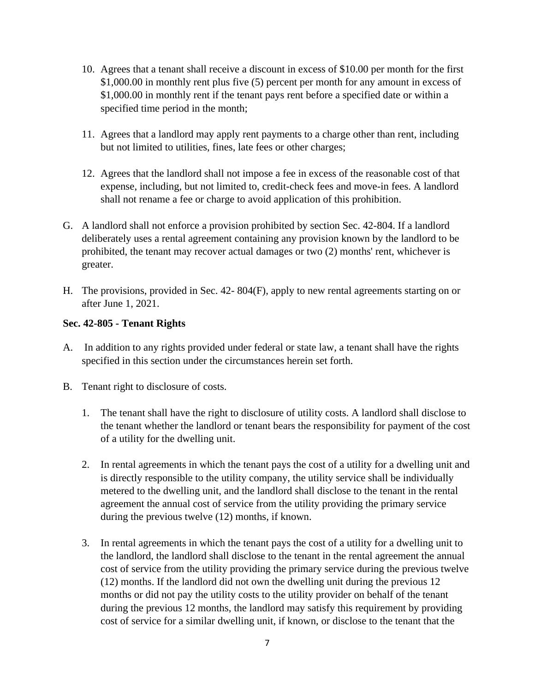- 10. Agrees that a tenant shall receive a discount in excess of \$10.00 per month for the first \$1,000.00 in monthly rent plus five (5) percent per month for any amount in excess of \$1,000.00 in monthly rent if the tenant pays rent before a specified date or within a specified time period in the month;
- 11. Agrees that a landlord may apply rent payments to a charge other than rent, including but not limited to utilities, fines, late fees or other charges;
- 12. Agrees that the landlord shall not impose a fee in excess of the reasonable cost of that expense, including, but not limited to, credit-check fees and move-in fees. A landlord shall not rename a fee or charge to avoid application of this prohibition.
- G. A landlord shall not enforce a provision prohibited by section Sec. 42-804. If a landlord deliberately uses a rental agreement containing any provision known by the landlord to be prohibited, the tenant may recover actual damages or two (2) months' rent, whichever is greater.
- H. The provisions, provided in Sec. 42- 804(F), apply to new rental agreements starting on or after June 1, 2021.

## **Sec. 42-805 - Tenant Rights**

- A. In addition to any rights provided under federal or state law, a tenant shall have the rights specified in this section under the circumstances herein set forth.
- B. Tenant right to disclosure of costs.
	- 1. The tenant shall have the right to disclosure of utility costs. A landlord shall disclose to the tenant whether the landlord or tenant bears the responsibility for payment of the cost of a utility for the dwelling unit.
	- 2. In rental agreements in which the tenant pays the cost of a utility for a dwelling unit and is directly responsible to the utility company, the utility service shall be individually metered to the dwelling unit, and the landlord shall disclose to the tenant in the rental agreement the annual cost of service from the utility providing the primary service during the previous twelve (12) months, if known.
	- 3. In rental agreements in which the tenant pays the cost of a utility for a dwelling unit to the landlord, the landlord shall disclose to the tenant in the rental agreement the annual cost of service from the utility providing the primary service during the previous twelve (12) months. If the landlord did not own the dwelling unit during the previous 12 months or did not pay the utility costs to the utility provider on behalf of the tenant during the previous 12 months, the landlord may satisfy this requirement by providing cost of service for a similar dwelling unit, if known, or disclose to the tenant that the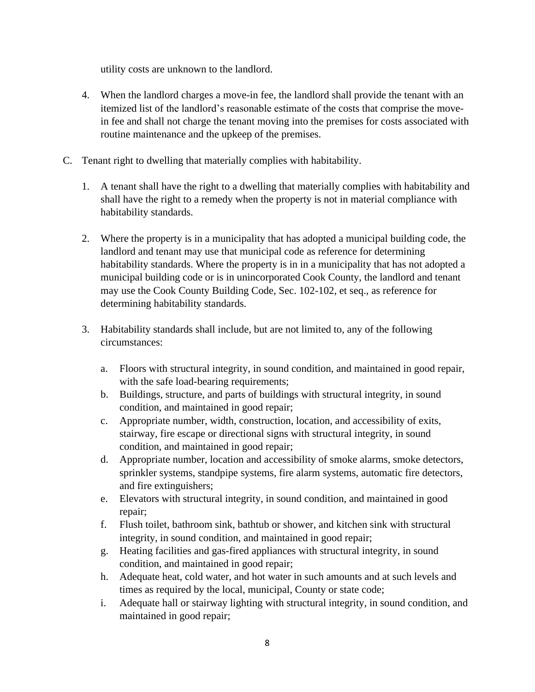utility costs are unknown to the landlord.

- 4. When the landlord charges a move-in fee, the landlord shall provide the tenant with an itemized list of the landlord's reasonable estimate of the costs that comprise the movein fee and shall not charge the tenant moving into the premises for costs associated with routine maintenance and the upkeep of the premises.
- C. Tenant right to dwelling that materially complies with habitability.
	- 1. A tenant shall have the right to a dwelling that materially complies with habitability and shall have the right to a remedy when the property is not in material compliance with habitability standards.
	- 2. Where the property is in a municipality that has adopted a municipal building code, the landlord and tenant may use that municipal code as reference for determining habitability standards. Where the property is in in a municipality that has not adopted a municipal building code or is in unincorporated Cook County, the landlord and tenant may use the Cook County Building Code, Sec. 102-102, et seq., as reference for determining habitability standards.
	- 3. Habitability standards shall include, but are not limited to, any of the following circumstances:
		- a. Floors with structural integrity, in sound condition, and maintained in good repair, with the safe load-bearing requirements;
		- b. Buildings, structure, and parts of buildings with structural integrity, in sound condition, and maintained in good repair;
		- c. Appropriate number, width, construction, location, and accessibility of exits, stairway, fire escape or directional signs with structural integrity, in sound condition, and maintained in good repair;
		- d. Appropriate number, location and accessibility of smoke alarms, smoke detectors, sprinkler systems, standpipe systems, fire alarm systems, automatic fire detectors, and fire extinguishers;
		- e. Elevators with structural integrity, in sound condition, and maintained in good repair;
		- f. Flush toilet, bathroom sink, bathtub or shower, and kitchen sink with structural integrity, in sound condition, and maintained in good repair;
		- g. Heating facilities and gas-fired appliances with structural integrity, in sound condition, and maintained in good repair;
		- h. Adequate heat, cold water, and hot water in such amounts and at such levels and times as required by the local, municipal, County or state code;
		- i. Adequate hall or stairway lighting with structural integrity, in sound condition, and maintained in good repair;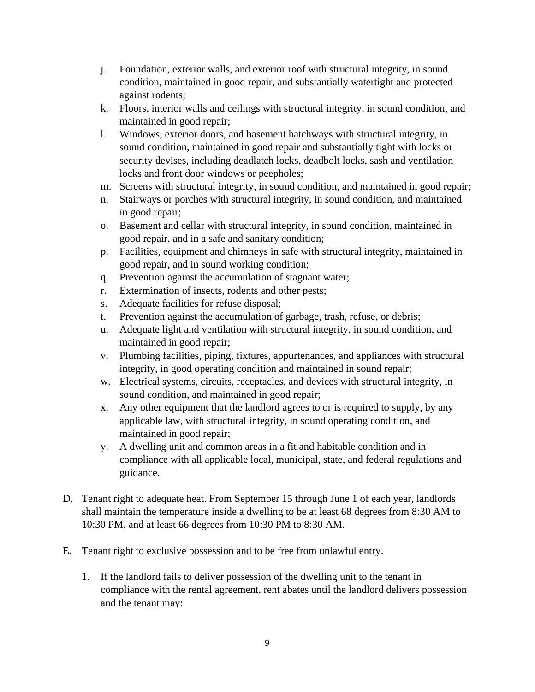- j. Foundation, exterior walls, and exterior roof with structural integrity, in sound condition, maintained in good repair, and substantially watertight and protected against rodents;
- k. Floors, interior walls and ceilings with structural integrity, in sound condition, and maintained in good repair;
- l. Windows, exterior doors, and basement hatchways with structural integrity, in sound condition, maintained in good repair and substantially tight with locks or security devises, including deadlatch locks, deadbolt locks, sash and ventilation locks and front door windows or peepholes;
- m. Screens with structural integrity, in sound condition, and maintained in good repair;
- n. Stairways or porches with structural integrity, in sound condition, and maintained in good repair;
- o. Basement and cellar with structural integrity, in sound condition, maintained in good repair, and in a safe and sanitary condition;
- p. Facilities, equipment and chimneys in safe with structural integrity, maintained in good repair, and in sound working condition;
- q. Prevention against the accumulation of stagnant water;
- r. Extermination of insects, rodents and other pests;
- s. Adequate facilities for refuse disposal;
- t. Prevention against the accumulation of garbage, trash, refuse, or debris;
- u. Adequate light and ventilation with structural integrity, in sound condition, and maintained in good repair;
- v. Plumbing facilities, piping, fixtures, appurtenances, and appliances with structural integrity, in good operating condition and maintained in sound repair;
- w. Electrical systems, circuits, receptacles, and devices with structural integrity, in sound condition, and maintained in good repair;
- x. Any other equipment that the landlord agrees to or is required to supply, by any applicable law, with structural integrity, in sound operating condition, and maintained in good repair;
- y. A dwelling unit and common areas in a fit and habitable condition and in compliance with all applicable local, municipal, state, and federal regulations and guidance.
- D. Tenant right to adequate heat. From September 15 through June 1 of each year, landlords shall maintain the temperature inside a dwelling to be at least 68 degrees from 8:30 AM to 10:30 PM, and at least 66 degrees from 10:30 PM to 8:30 AM.
- E. Tenant right to exclusive possession and to be free from unlawful entry.
	- 1. If the landlord fails to deliver possession of the dwelling unit to the tenant in compliance with the rental agreement, rent abates until the landlord delivers possession and the tenant may: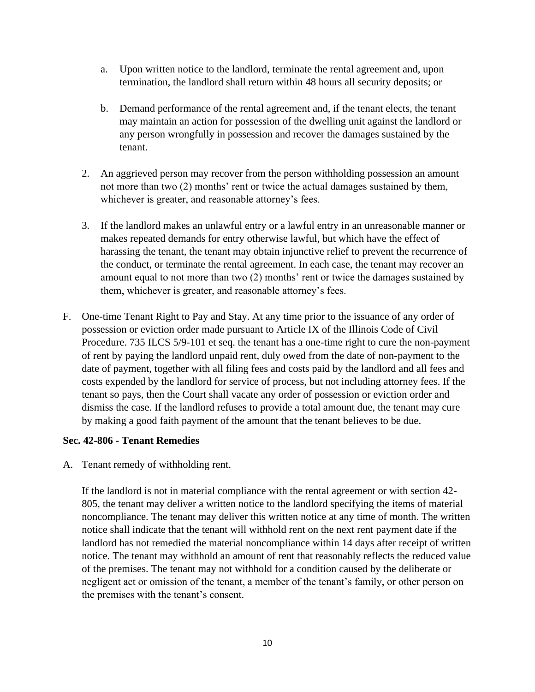- a. Upon written notice to the landlord, terminate the rental agreement and, upon termination, the landlord shall return within 48 hours all security deposits; or
- b. Demand performance of the rental agreement and, if the tenant elects, the tenant may maintain an action for possession of the dwelling unit against the landlord or any person wrongfully in possession and recover the damages sustained by the tenant.
- 2. An aggrieved person may recover from the person withholding possession an amount not more than two (2) months' rent or twice the actual damages sustained by them, whichever is greater, and reasonable attorney's fees.
- 3. If the landlord makes an unlawful entry or a lawful entry in an unreasonable manner or makes repeated demands for entry otherwise lawful, but which have the effect of harassing the tenant, the tenant may obtain injunctive relief to prevent the recurrence of the conduct, or terminate the rental agreement. In each case, the tenant may recover an amount equal to not more than two (2) months' rent or twice the damages sustained by them, whichever is greater, and reasonable attorney's fees.
- F. One-time Tenant Right to Pay and Stay. At any time prior to the issuance of any order of possession or eviction order made pursuant to Article IX of the Illinois Code of Civil Procedure. 735 ILCS 5/9-101 et seq. the tenant has a one-time right to cure the non-payment of rent by paying the landlord unpaid rent, duly owed from the date of non-payment to the date of payment, together with all filing fees and costs paid by the landlord and all fees and costs expended by the landlord for service of process, but not including attorney fees. If the tenant so pays, then the Court shall vacate any order of possession or eviction order and dismiss the case. If the landlord refuses to provide a total amount due, the tenant may cure by making a good faith payment of the amount that the tenant believes to be due.

#### **Sec. 42-806 - Tenant Remedies**

A. Tenant remedy of withholding rent.

If the landlord is not in material compliance with the rental agreement or with section 42- 805, the tenant may deliver a written notice to the landlord specifying the items of material noncompliance. The tenant may deliver this written notice at any time of month. The written notice shall indicate that the tenant will withhold rent on the next rent payment date if the landlord has not remedied the material noncompliance within 14 days after receipt of written notice. The tenant may withhold an amount of rent that reasonably reflects the reduced value of the premises. The tenant may not withhold for a condition caused by the deliberate or negligent act or omission of the tenant, a member of the tenant's family, or other person on the premises with the tenant's consent.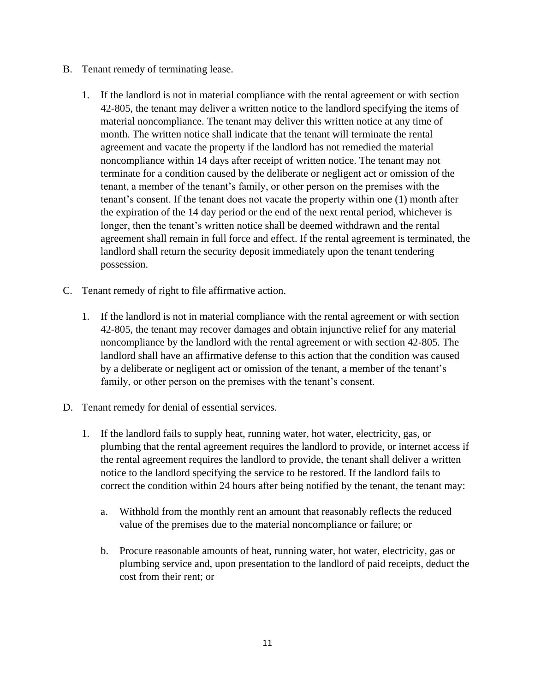- B. Tenant remedy of terminating lease.
	- 1. If the landlord is not in material compliance with the rental agreement or with section 42-805, the tenant may deliver a written notice to the landlord specifying the items of material noncompliance. The tenant may deliver this written notice at any time of month. The written notice shall indicate that the tenant will terminate the rental agreement and vacate the property if the landlord has not remedied the material noncompliance within 14 days after receipt of written notice. The tenant may not terminate for a condition caused by the deliberate or negligent act or omission of the tenant, a member of the tenant's family, or other person on the premises with the tenant's consent. If the tenant does not vacate the property within one (1) month after the expiration of the 14 day period or the end of the next rental period, whichever is longer, then the tenant's written notice shall be deemed withdrawn and the rental agreement shall remain in full force and effect. If the rental agreement is terminated, the landlord shall return the security deposit immediately upon the tenant tendering possession.
- C. Tenant remedy of right to file affirmative action.
	- 1. If the landlord is not in material compliance with the rental agreement or with section 42-805, the tenant may recover damages and obtain injunctive relief for any material noncompliance by the landlord with the rental agreement or with section 42-805. The landlord shall have an affirmative defense to this action that the condition was caused by a deliberate or negligent act or omission of the tenant, a member of the tenant's family, or other person on the premises with the tenant's consent.
- D. Tenant remedy for denial of essential services.
	- 1. If the landlord fails to supply heat, running water, hot water, electricity, gas, or plumbing that the rental agreement requires the landlord to provide, or internet access if the rental agreement requires the landlord to provide, the tenant shall deliver a written notice to the landlord specifying the service to be restored. If the landlord fails to correct the condition within 24 hours after being notified by the tenant, the tenant may:
		- a. Withhold from the monthly rent an amount that reasonably reflects the reduced value of the premises due to the material noncompliance or failure; or
		- b. Procure reasonable amounts of heat, running water, hot water, electricity, gas or plumbing service and, upon presentation to the landlord of paid receipts, deduct the cost from their rent; or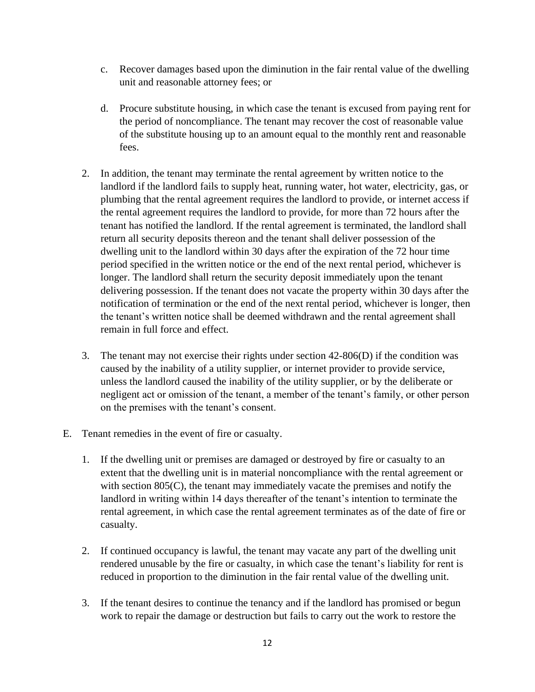- c. Recover damages based upon the diminution in the fair rental value of the dwelling unit and reasonable attorney fees; or
- d. Procure substitute housing, in which case the tenant is excused from paying rent for the period of noncompliance. The tenant may recover the cost of reasonable value of the substitute housing up to an amount equal to the monthly rent and reasonable fees.
- 2. In addition, the tenant may terminate the rental agreement by written notice to the landlord if the landlord fails to supply heat, running water, hot water, electricity, gas, or plumbing that the rental agreement requires the landlord to provide, or internet access if the rental agreement requires the landlord to provide, for more than 72 hours after the tenant has notified the landlord. If the rental agreement is terminated, the landlord shall return all security deposits thereon and the tenant shall deliver possession of the dwelling unit to the landlord within 30 days after the expiration of the 72 hour time period specified in the written notice or the end of the next rental period, whichever is longer. The landlord shall return the security deposit immediately upon the tenant delivering possession. If the tenant does not vacate the property within 30 days after the notification of termination or the end of the next rental period, whichever is longer, then the tenant's written notice shall be deemed withdrawn and the rental agreement shall remain in full force and effect.
- 3. The tenant may not exercise their rights under section 42-806(D) if the condition was caused by the inability of a utility supplier, or internet provider to provide service, unless the landlord caused the inability of the utility supplier, or by the deliberate or negligent act or omission of the tenant, a member of the tenant's family, or other person on the premises with the tenant's consent.
- E. Tenant remedies in the event of fire or casualty.
	- 1. If the dwelling unit or premises are damaged or destroyed by fire or casualty to an extent that the dwelling unit is in material noncompliance with the rental agreement or with section 805(C), the tenant may immediately vacate the premises and notify the landlord in writing within 14 days thereafter of the tenant's intention to terminate the rental agreement, in which case the rental agreement terminates as of the date of fire or casualty.
	- 2. If continued occupancy is lawful, the tenant may vacate any part of the dwelling unit rendered unusable by the fire or casualty, in which case the tenant's liability for rent is reduced in proportion to the diminution in the fair rental value of the dwelling unit.
	- 3. If the tenant desires to continue the tenancy and if the landlord has promised or begun work to repair the damage or destruction but fails to carry out the work to restore the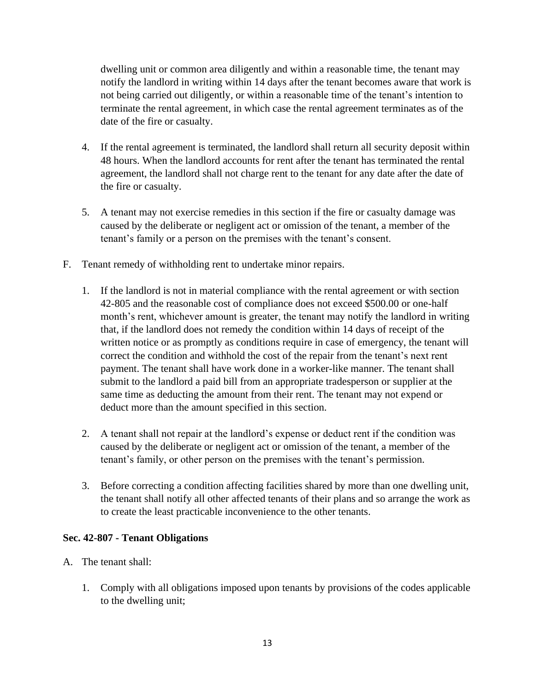dwelling unit or common area diligently and within a reasonable time, the tenant may notify the landlord in writing within 14 days after the tenant becomes aware that work is not being carried out diligently, or within a reasonable time of the tenant's intention to terminate the rental agreement, in which case the rental agreement terminates as of the date of the fire or casualty.

- 4. If the rental agreement is terminated, the landlord shall return all security deposit within 48 hours. When the landlord accounts for rent after the tenant has terminated the rental agreement, the landlord shall not charge rent to the tenant for any date after the date of the fire or casualty.
- 5. A tenant may not exercise remedies in this section if the fire or casualty damage was caused by the deliberate or negligent act or omission of the tenant, a member of the tenant's family or a person on the premises with the tenant's consent.
- F. Tenant remedy of withholding rent to undertake minor repairs.
	- 1. If the landlord is not in material compliance with the rental agreement or with section 42-805 and the reasonable cost of compliance does not exceed \$500.00 or one-half month's rent, whichever amount is greater, the tenant may notify the landlord in writing that, if the landlord does not remedy the condition within 14 days of receipt of the written notice or as promptly as conditions require in case of emergency, the tenant will correct the condition and withhold the cost of the repair from the tenant's next rent payment. The tenant shall have work done in a worker-like manner. The tenant shall submit to the landlord a paid bill from an appropriate tradesperson or supplier at the same time as deducting the amount from their rent. The tenant may not expend or deduct more than the amount specified in this section.
	- 2. A tenant shall not repair at the landlord's expense or deduct rent if the condition was caused by the deliberate or negligent act or omission of the tenant, a member of the tenant's family, or other person on the premises with the tenant's permission.
	- 3. Before correcting a condition affecting facilities shared by more than one dwelling unit, the tenant shall notify all other affected tenants of their plans and so arrange the work as to create the least practicable inconvenience to the other tenants.

## **Sec. 42-807 - Tenant Obligations**

- A. The tenant shall:
	- 1. Comply with all obligations imposed upon tenants by provisions of the codes applicable to the dwelling unit;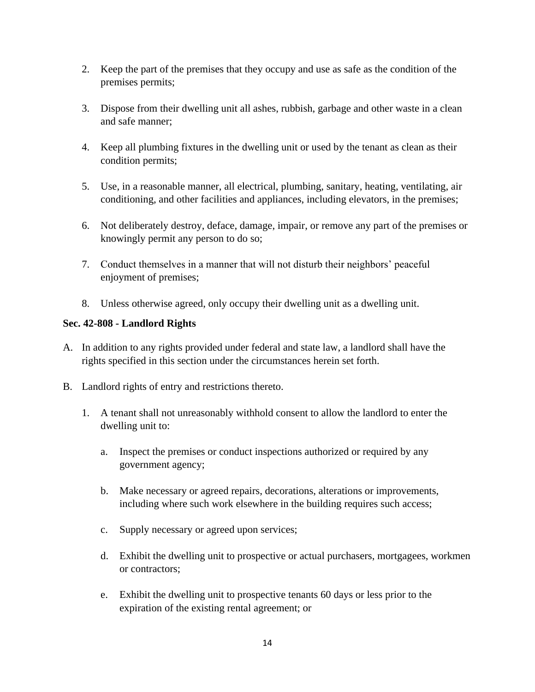- 2. Keep the part of the premises that they occupy and use as safe as the condition of the premises permits;
- 3. Dispose from their dwelling unit all ashes, rubbish, garbage and other waste in a clean and safe manner;
- 4. Keep all plumbing fixtures in the dwelling unit or used by the tenant as clean as their condition permits;
- 5. Use, in a reasonable manner, all electrical, plumbing, sanitary, heating, ventilating, air conditioning, and other facilities and appliances, including elevators, in the premises;
- 6. Not deliberately destroy, deface, damage, impair, or remove any part of the premises or knowingly permit any person to do so;
- 7. Conduct themselves in a manner that will not disturb their neighbors' peaceful enjoyment of premises;
- 8. Unless otherwise agreed, only occupy their dwelling unit as a dwelling unit.

## **Sec. 42-808 - Landlord Rights**

- A. In addition to any rights provided under federal and state law, a landlord shall have the rights specified in this section under the circumstances herein set forth.
- B. Landlord rights of entry and restrictions thereto.
	- 1. A tenant shall not unreasonably withhold consent to allow the landlord to enter the dwelling unit to:
		- a. Inspect the premises or conduct inspections authorized or required by any government agency;
		- b. Make necessary or agreed repairs, decorations, alterations or improvements, including where such work elsewhere in the building requires such access;
		- c. Supply necessary or agreed upon services;
		- d. Exhibit the dwelling unit to prospective or actual purchasers, mortgagees, workmen or contractors;
		- e. Exhibit the dwelling unit to prospective tenants 60 days or less prior to the expiration of the existing rental agreement; or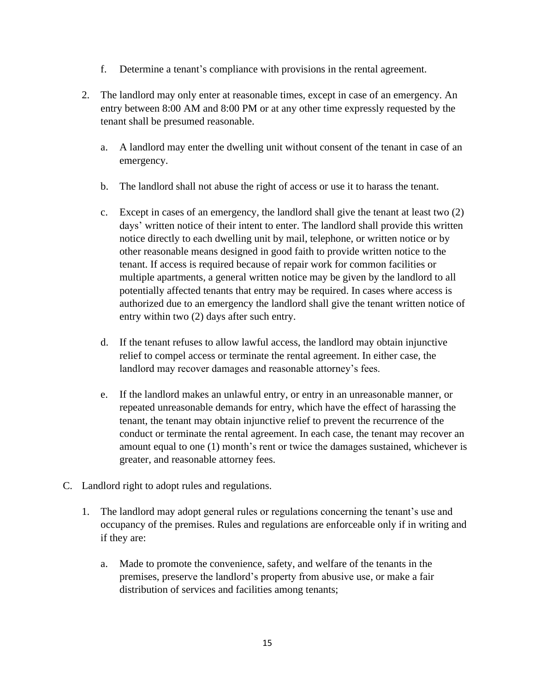- f. Determine a tenant's compliance with provisions in the rental agreement.
- 2. The landlord may only enter at reasonable times, except in case of an emergency. An entry between 8:00 AM and 8:00 PM or at any other time expressly requested by the tenant shall be presumed reasonable.
	- a. A landlord may enter the dwelling unit without consent of the tenant in case of an emergency.
	- b. The landlord shall not abuse the right of access or use it to harass the tenant.
	- c. Except in cases of an emergency, the landlord shall give the tenant at least two (2) days' written notice of their intent to enter. The landlord shall provide this written notice directly to each dwelling unit by mail, telephone, or written notice or by other reasonable means designed in good faith to provide written notice to the tenant. If access is required because of repair work for common facilities or multiple apartments, a general written notice may be given by the landlord to all potentially affected tenants that entry may be required. In cases where access is authorized due to an emergency the landlord shall give the tenant written notice of entry within two (2) days after such entry.
	- d. If the tenant refuses to allow lawful access, the landlord may obtain injunctive relief to compel access or terminate the rental agreement. In either case, the landlord may recover damages and reasonable attorney's fees.
	- e. If the landlord makes an unlawful entry, or entry in an unreasonable manner, or repeated unreasonable demands for entry, which have the effect of harassing the tenant, the tenant may obtain injunctive relief to prevent the recurrence of the conduct or terminate the rental agreement. In each case, the tenant may recover an amount equal to one (1) month's rent or twice the damages sustained, whichever is greater, and reasonable attorney fees.
- C. Landlord right to adopt rules and regulations.
	- 1. The landlord may adopt general rules or regulations concerning the tenant's use and occupancy of the premises. Rules and regulations are enforceable only if in writing and if they are:
		- a. Made to promote the convenience, safety, and welfare of the tenants in the premises, preserve the landlord's property from abusive use, or make a fair distribution of services and facilities among tenants;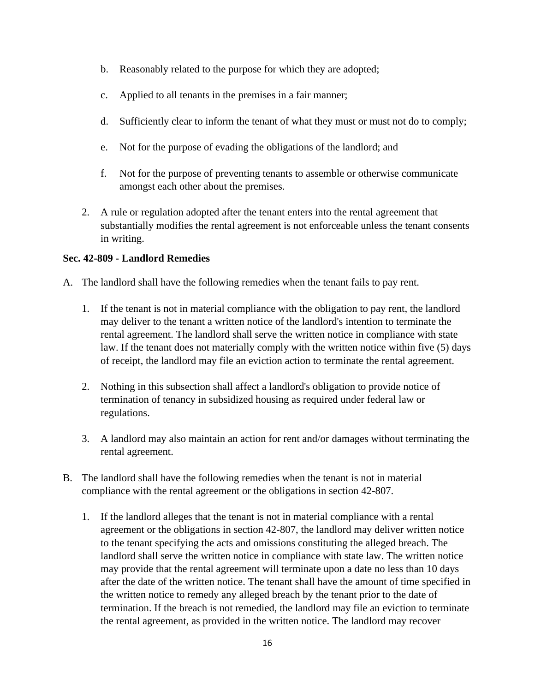- b. Reasonably related to the purpose for which they are adopted;
- c. Applied to all tenants in the premises in a fair manner;
- d. Sufficiently clear to inform the tenant of what they must or must not do to comply;
- e. Not for the purpose of evading the obligations of the landlord; and
- f. Not for the purpose of preventing tenants to assemble or otherwise communicate amongst each other about the premises.
- 2. A rule or regulation adopted after the tenant enters into the rental agreement that substantially modifies the rental agreement is not enforceable unless the tenant consents in writing.

#### **Sec. 42-809 - Landlord Remedies**

- A. The landlord shall have the following remedies when the tenant fails to pay rent.
	- 1. If the tenant is not in material compliance with the obligation to pay rent, the landlord may deliver to the tenant a written notice of the landlord's intention to terminate the rental agreement. The landlord shall serve the written notice in compliance with state law. If the tenant does not materially comply with the written notice within five (5) days of receipt, the landlord may file an eviction action to terminate the rental agreement.
	- 2. Nothing in this subsection shall affect a landlord's obligation to provide notice of termination of tenancy in subsidized housing as required under federal law or regulations.
	- 3. A landlord may also maintain an action for rent and/or damages without terminating the rental agreement.
- B. The landlord shall have the following remedies when the tenant is not in material compliance with the rental agreement or the obligations in section 42-807.
	- 1. If the landlord alleges that the tenant is not in material compliance with a rental agreement or the obligations in section 42-807, the landlord may deliver written notice to the tenant specifying the acts and omissions constituting the alleged breach. The landlord shall serve the written notice in compliance with state law. The written notice may provide that the rental agreement will terminate upon a date no less than 10 days after the date of the written notice. The tenant shall have the amount of time specified in the written notice to remedy any alleged breach by the tenant prior to the date of termination. If the breach is not remedied, the landlord may file an eviction to terminate the rental agreement, as provided in the written notice. The landlord may recover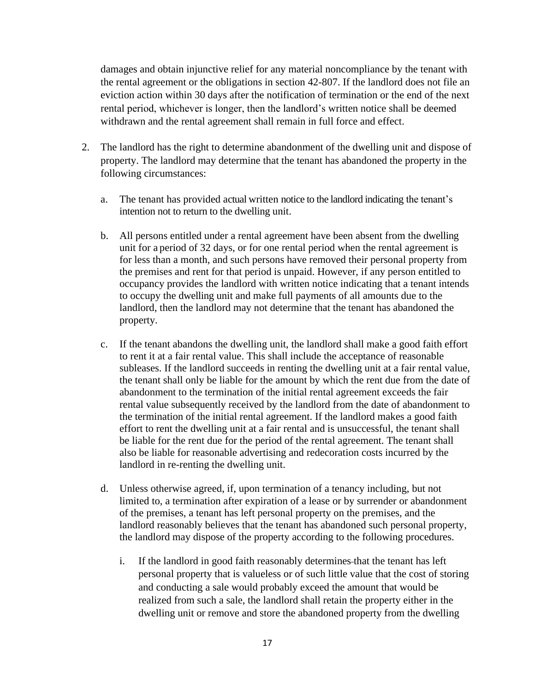damages and obtain injunctive relief for any material noncompliance by the tenant with the rental agreement or the obligations in section 42-807. If the landlord does not file an eviction action within 30 days after the notification of termination or the end of the next rental period, whichever is longer, then the landlord's written notice shall be deemed withdrawn and the rental agreement shall remain in full force and effect.

- 2. The landlord has the right to determine abandonment of the dwelling unit and dispose of property. The landlord may determine that the tenant has abandoned the property in the following circumstances:
	- a. The tenant has provided actual written notice to the landlord indicating the tenant's intention not to return to the dwelling unit.
	- b. All persons entitled under a rental agreement have been absent from the dwelling unit for a period of 32 days, or for one rental period when the rental agreement is for less than a month, and such persons have removed their personal property from the premises and rent for that period is unpaid. However, if any person entitled to occupancy provides the landlord with written notice indicating that a tenant intends to occupy the dwelling unit and make full payments of all amounts due to the landlord, then the landlord may not determine that the tenant has abandoned the property.
	- c. If the tenant abandons the dwelling unit, the landlord shall make a good faith effort to rent it at a fair rental value. This shall include the acceptance of reasonable subleases. If the landlord succeeds in renting the dwelling unit at a fair rental value, the tenant shall only be liable for the amount by which the rent due from the date of abandonment to the termination of the initial rental agreement exceeds the fair rental value subsequently received by the landlord from the date of abandonment to the termination of the initial rental agreement. If the landlord makes a good faith effort to rent the dwelling unit at a fair rental and is unsuccessful, the tenant shall be liable for the rent due for the period of the rental agreement. The tenant shall also be liable for reasonable advertising and redecoration costs incurred by the landlord in re-renting the dwelling unit.
	- d. Unless otherwise agreed, if, upon termination of a tenancy including, but not limited to, a termination after expiration of a lease or by surrender or abandonment of the premises, a tenant has left personal property on the premises, and the landlord reasonably believes that the tenant has abandoned such personal property, the landlord may dispose of the property according to the following procedures.
		- i. If the landlord in good faith reasonably determines that the tenant has left personal property that is valueless or of such little value that the cost of storing and conducting a sale would probably exceed the amount that would be realized from such a sale, the landlord shall retain the property either in the dwelling unit or remove and store the abandoned property from the dwelling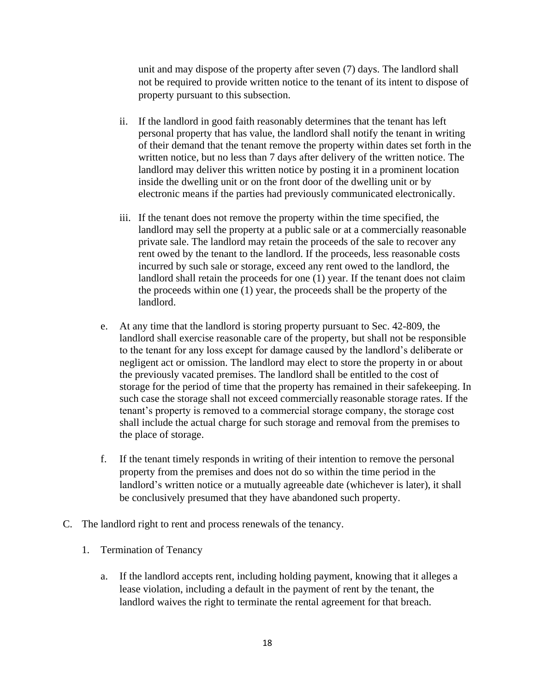unit and may dispose of the property after seven (7) days. The landlord shall not be required to provide written notice to the tenant of its intent to dispose of property pursuant to this subsection.

- ii. If the landlord in good faith reasonably determines that the tenant has left personal property that has value, the landlord shall notify the tenant in writing of their demand that the tenant remove the property within dates set forth in the written notice, but no less than 7 days after delivery of the written notice. The landlord may deliver this written notice by posting it in a prominent location inside the dwelling unit or on the front door of the dwelling unit or by electronic means if the parties had previously communicated electronically.
- iii. If the tenant does not remove the property within the time specified, the landlord may sell the property at a public sale or at a commercially reasonable private sale. The landlord may retain the proceeds of the sale to recover any rent owed by the tenant to the landlord. If the proceeds, less reasonable costs incurred by such sale or storage, exceed any rent owed to the landlord, the landlord shall retain the proceeds for one (1) year. If the tenant does not claim the proceeds within one (1) year, the proceeds shall be the property of the landlord.
- e. At any time that the landlord is storing property pursuant to Sec. 42-809, the landlord shall exercise reasonable care of the property, but shall not be responsible to the tenant for any loss except for damage caused by the landlord's deliberate or negligent act or omission. The landlord may elect to store the property in or about the previously vacated premises. The landlord shall be entitled to the cost of storage for the period of time that the property has remained in their safekeeping. In such case the storage shall not exceed commercially reasonable storage rates. If the tenant's property is removed to a commercial storage company, the storage cost shall include the actual charge for such storage and removal from the premises to the place of storage.
- f. If the tenant timely responds in writing of their intention to remove the personal property from the premises and does not do so within the time period in the landlord's written notice or a mutually agreeable date (whichever is later), it shall be conclusively presumed that they have abandoned such property.
- C. The landlord right to rent and process renewals of the tenancy.
	- 1. Termination of Tenancy
		- a. If the landlord accepts rent, including holding payment, knowing that it alleges a lease violation, including a default in the payment of rent by the tenant, the landlord waives the right to terminate the rental agreement for that breach.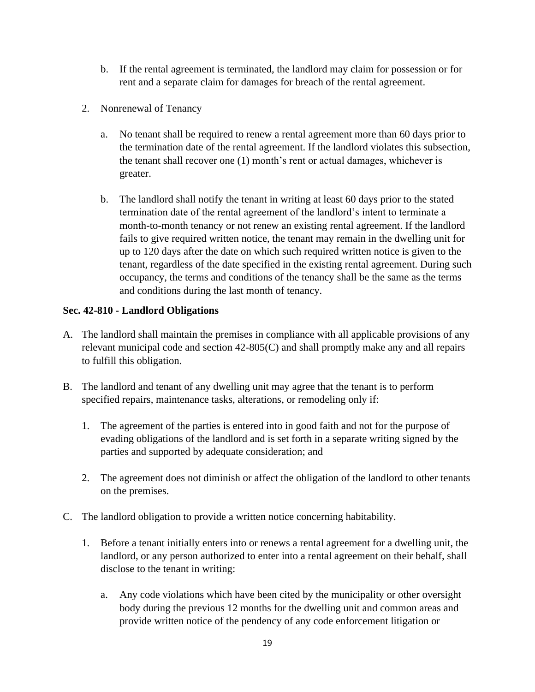- b. If the rental agreement is terminated, the landlord may claim for possession or for rent and a separate claim for damages for breach of the rental agreement.
- 2. Nonrenewal of Tenancy
	- a. No tenant shall be required to renew a rental agreement more than 60 days prior to the termination date of the rental agreement. If the landlord violates this subsection, the tenant shall recover one (1) month's rent or actual damages, whichever is greater.
	- b. The landlord shall notify the tenant in writing at least 60 days prior to the stated termination date of the rental agreement of the landlord's intent to terminate a month-to-month tenancy or not renew an existing rental agreement. If the landlord fails to give required written notice, the tenant may remain in the dwelling unit for up to 120 days after the date on which such required written notice is given to the tenant, regardless of the date specified in the existing rental agreement. During such occupancy, the terms and conditions of the tenancy shall be the same as the terms and conditions during the last month of tenancy.

# **Sec. 42-810 - Landlord Obligations**

- A. The landlord shall maintain the premises in compliance with all applicable provisions of any relevant municipal code and section 42-805(C) and shall promptly make any and all repairs to fulfill this obligation.
- B. The landlord and tenant of any dwelling unit may agree that the tenant is to perform specified repairs, maintenance tasks, alterations, or remodeling only if:
	- 1. The agreement of the parties is entered into in good faith and not for the purpose of evading obligations of the landlord and is set forth in a separate writing signed by the parties and supported by adequate consideration; and
	- 2. The agreement does not diminish or affect the obligation of the landlord to other tenants on the premises.
- C. The landlord obligation to provide a written notice concerning habitability.
	- 1. Before a tenant initially enters into or renews a rental agreement for a dwelling unit, the landlord, or any person authorized to enter into a rental agreement on their behalf, shall disclose to the tenant in writing:
		- a. Any code violations which have been cited by the municipality or other oversight body during the previous 12 months for the dwelling unit and common areas and provide written notice of the pendency of any code enforcement litigation or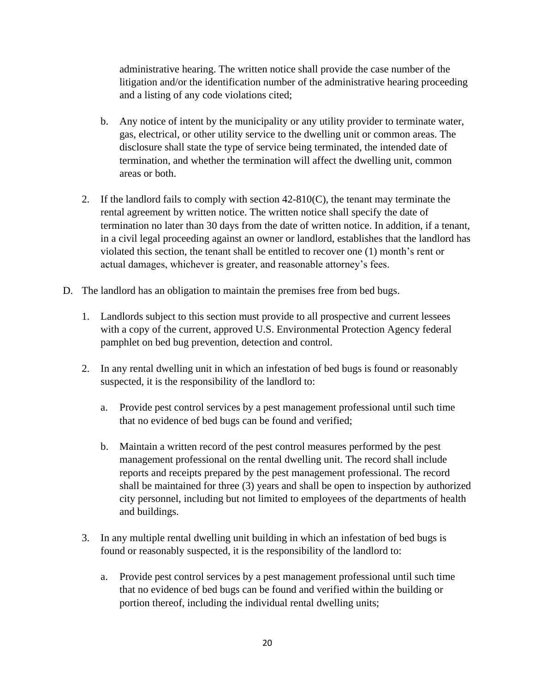administrative hearing. The written notice shall provide the case number of the litigation and/or the identification number of the administrative hearing proceeding and a listing of any code violations cited;

- b. Any notice of intent by the municipality or any utility provider to terminate water, gas, electrical, or other utility service to the dwelling unit or common areas. The disclosure shall state the type of service being terminated, the intended date of termination, and whether the termination will affect the dwelling unit, common areas or both.
- 2. If the landlord fails to comply with section 42-810(C), the tenant may terminate the rental agreement by written notice. The written notice shall specify the date of termination no later than 30 days from the date of written notice. In addition, if a tenant, in a civil legal proceeding against an owner or landlord, establishes that the landlord has violated this section, the tenant shall be entitled to recover one (1) month's rent or actual damages, whichever is greater, and reasonable attorney's fees.
- D. The landlord has an obligation to maintain the premises free from bed bugs.
	- 1. Landlords subject to this section must provide to all prospective and current lessees with a copy of the current, approved U.S. Environmental Protection Agency federal pamphlet on bed bug prevention, detection and control.
	- 2. In any rental dwelling unit in which an infestation of bed bugs is found or reasonably suspected, it is the responsibility of the landlord to:
		- a. Provide pest control services by a pest management professional until such time that no evidence of bed bugs can be found and verified;
		- b. Maintain a written record of the pest control measures performed by the pest management professional on the rental dwelling unit. The record shall include reports and receipts prepared by the pest management professional. The record shall be maintained for three (3) years and shall be open to inspection by authorized city personnel, including but not limited to employees of the departments of health and buildings.
	- 3. In any multiple rental dwelling unit building in which an infestation of bed bugs is found or reasonably suspected, it is the responsibility of the landlord to:
		- a. Provide pest control services by a pest management professional until such time that no evidence of bed bugs can be found and verified within the building or portion thereof, including the individual rental dwelling units;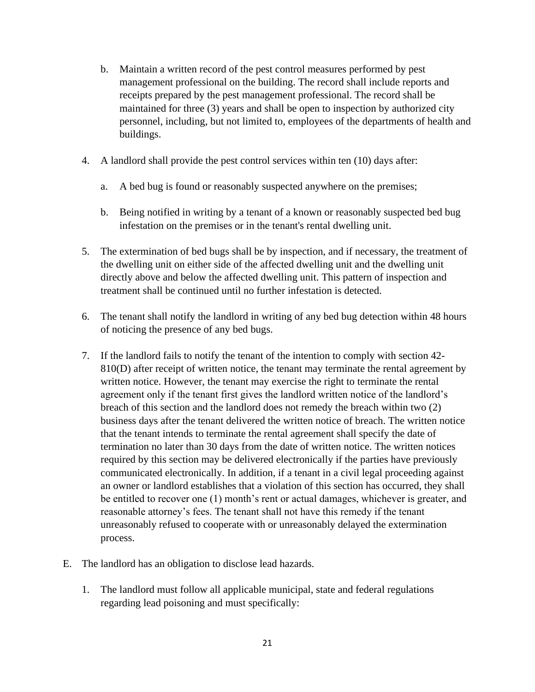- b. Maintain a written record of the pest control measures performed by pest management professional on the building. The record shall include reports and receipts prepared by the pest management professional. The record shall be maintained for three (3) years and shall be open to inspection by authorized city personnel, including, but not limited to, employees of the departments of health and buildings.
- 4. A landlord shall provide the pest control services within ten (10) days after:
	- a. A bed bug is found or reasonably suspected anywhere on the premises;
	- b. Being notified in writing by a tenant of a known or reasonably suspected bed bug infestation on the premises or in the tenant's rental dwelling unit.
- 5. The extermination of bed bugs shall be by inspection, and if necessary, the treatment of the dwelling unit on either side of the affected dwelling unit and the dwelling unit directly above and below the affected dwelling unit. This pattern of inspection and treatment shall be continued until no further infestation is detected.
- 6. The tenant shall notify the landlord in writing of any bed bug detection within 48 hours of noticing the presence of any bed bugs.
- 7. If the landlord fails to notify the tenant of the intention to comply with section 42- 810(D) after receipt of written notice, the tenant may terminate the rental agreement by written notice. However, the tenant may exercise the right to terminate the rental agreement only if the tenant first gives the landlord written notice of the landlord's breach of this section and the landlord does not remedy the breach within two (2) business days after the tenant delivered the written notice of breach. The written notice that the tenant intends to terminate the rental agreement shall specify the date of termination no later than 30 days from the date of written notice. The written notices required by this section may be delivered electronically if the parties have previously communicated electronically. In addition, if a tenant in a civil legal proceeding against an owner or landlord establishes that a violation of this section has occurred, they shall be entitled to recover one (1) month's rent or actual damages, whichever is greater, and reasonable attorney's fees. The tenant shall not have this remedy if the tenant unreasonably refused to cooperate with or unreasonably delayed the extermination process.
- E. The landlord has an obligation to disclose lead hazards.
	- 1. The landlord must follow all applicable municipal, state and federal regulations regarding lead poisoning and must specifically: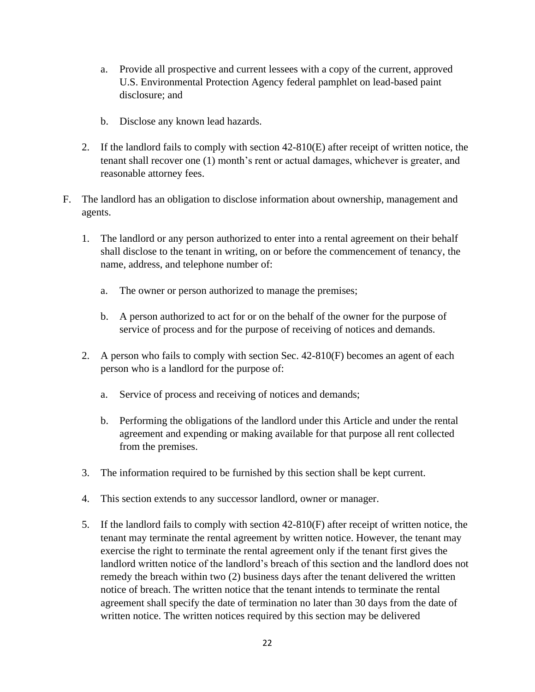- a. Provide all prospective and current lessees with a copy of the current, approved U.S. Environmental Protection Agency federal pamphlet on lead-based paint disclosure; and
- b. Disclose any known lead hazards.
- 2. If the landlord fails to comply with section 42-810(E) after receipt of written notice, the tenant shall recover one (1) month's rent or actual damages, whichever is greater, and reasonable attorney fees.
- F. The landlord has an obligation to disclose information about ownership, management and agents.
	- 1. The landlord or any person authorized to enter into a rental agreement on their behalf shall disclose to the tenant in writing, on or before the commencement of tenancy, the name, address, and telephone number of:
		- a. The owner or person authorized to manage the premises;
		- b. A person authorized to act for or on the behalf of the owner for the purpose of service of process and for the purpose of receiving of notices and demands.
	- 2. A person who fails to comply with section Sec. 42-810(F) becomes an agent of each person who is a landlord for the purpose of:
		- a. Service of process and receiving of notices and demands;
		- b. Performing the obligations of the landlord under this Article and under the rental agreement and expending or making available for that purpose all rent collected from the premises.
	- 3. The information required to be furnished by this section shall be kept current.
	- 4. This section extends to any successor landlord, owner or manager.
	- 5. If the landlord fails to comply with section 42-810(F) after receipt of written notice, the tenant may terminate the rental agreement by written notice. However, the tenant may exercise the right to terminate the rental agreement only if the tenant first gives the landlord written notice of the landlord's breach of this section and the landlord does not remedy the breach within two (2) business days after the tenant delivered the written notice of breach. The written notice that the tenant intends to terminate the rental agreement shall specify the date of termination no later than 30 days from the date of written notice. The written notices required by this section may be delivered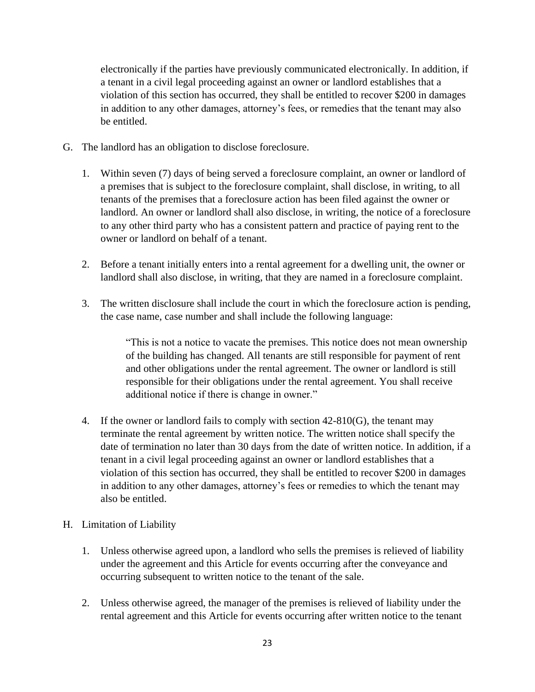electronically if the parties have previously communicated electronically. In addition, if a tenant in a civil legal proceeding against an owner or landlord establishes that a violation of this section has occurred, they shall be entitled to recover \$200 in damages in addition to any other damages, attorney's fees, or remedies that the tenant may also be entitled.

- G. The landlord has an obligation to disclose foreclosure.
	- 1. Within seven (7) days of being served a foreclosure complaint, an owner or landlord of a premises that is subject to the foreclosure complaint, shall disclose, in writing, to all tenants of the premises that a foreclosure action has been filed against the owner or landlord. An owner or landlord shall also disclose, in writing, the notice of a foreclosure to any other third party who has a consistent pattern and practice of paying rent to the owner or landlord on behalf of a tenant.
	- 2. Before a tenant initially enters into a rental agreement for a dwelling unit, the owner or landlord shall also disclose, in writing, that they are named in a foreclosure complaint.
	- 3. The written disclosure shall include the court in which the foreclosure action is pending, the case name, case number and shall include the following language:

"This is not a notice to vacate the premises. This notice does not mean ownership of the building has changed. All tenants are still responsible for payment of rent and other obligations under the rental agreement. The owner or landlord is still responsible for their obligations under the rental agreement. You shall receive additional notice if there is change in owner."

4. If the owner or landlord fails to comply with section 42-810(G), the tenant may terminate the rental agreement by written notice. The written notice shall specify the date of termination no later than 30 days from the date of written notice. In addition, if a tenant in a civil legal proceeding against an owner or landlord establishes that a violation of this section has occurred, they shall be entitled to recover \$200 in damages in addition to any other damages, attorney's fees or remedies to which the tenant may also be entitled.

## H. Limitation of Liability

- 1. Unless otherwise agreed upon, a landlord who sells the premises is relieved of liability under the agreement and this Article for events occurring after the conveyance and occurring subsequent to written notice to the tenant of the sale.
- 2. Unless otherwise agreed, the manager of the premises is relieved of liability under the rental agreement and this Article for events occurring after written notice to the tenant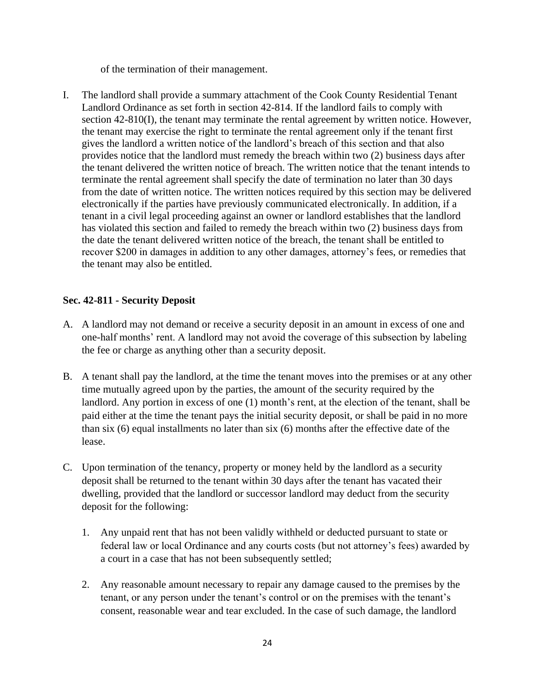of the termination of their management.

I. The landlord shall provide a summary attachment of the Cook County Residential Tenant Landlord Ordinance as set forth in section 42-814. If the landlord fails to comply with section 42-810(I), the tenant may terminate the rental agreement by written notice. However, the tenant may exercise the right to terminate the rental agreement only if the tenant first gives the landlord a written notice of the landlord's breach of this section and that also provides notice that the landlord must remedy the breach within two (2) business days after the tenant delivered the written notice of breach. The written notice that the tenant intends to terminate the rental agreement shall specify the date of termination no later than 30 days from the date of written notice. The written notices required by this section may be delivered electronically if the parties have previously communicated electronically. In addition, if a tenant in a civil legal proceeding against an owner or landlord establishes that the landlord has violated this section and failed to remedy the breach within two (2) business days from the date the tenant delivered written notice of the breach, the tenant shall be entitled to recover \$200 in damages in addition to any other damages, attorney's fees, or remedies that the tenant may also be entitled.

# **Sec. 42-811 - Security Deposit**

- A. A landlord may not demand or receive a security deposit in an amount in excess of one and one-half months' rent. A landlord may not avoid the coverage of this subsection by labeling the fee or charge as anything other than a security deposit.
- B. A tenant shall pay the landlord, at the time the tenant moves into the premises or at any other time mutually agreed upon by the parties, the amount of the security required by the landlord. Any portion in excess of one (1) month's rent, at the election of the tenant, shall be paid either at the time the tenant pays the initial security deposit, or shall be paid in no more than six (6) equal installments no later than six (6) months after the effective date of the lease.
- C. Upon termination of the tenancy, property or money held by the landlord as a security deposit shall be returned to the tenant within 30 days after the tenant has vacated their dwelling, provided that the landlord or successor landlord may deduct from the security deposit for the following:
	- 1. Any unpaid rent that has not been validly withheld or deducted pursuant to state or federal law or local Ordinance and any courts costs (but not attorney's fees) awarded by a court in a case that has not been subsequently settled;
	- 2. Any reasonable amount necessary to repair any damage caused to the premises by the tenant, or any person under the tenant's control or on the premises with the tenant's consent, reasonable wear and tear excluded. In the case of such damage, the landlord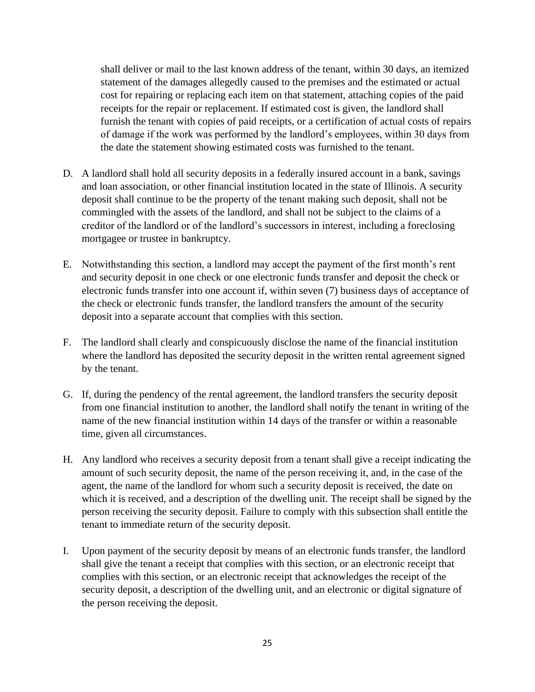shall deliver or mail to the last known address of the tenant, within 30 days, an itemized statement of the damages allegedly caused to the premises and the estimated or actual cost for repairing or replacing each item on that statement, attaching copies of the paid receipts for the repair or replacement. If estimated cost is given, the landlord shall furnish the tenant with copies of paid receipts, or a certification of actual costs of repairs of damage if the work was performed by the landlord's employees, within 30 days from the date the statement showing estimated costs was furnished to the tenant.

- D. A landlord shall hold all security deposits in a federally insured account in a bank, savings and loan association, or other financial institution located in the state of Illinois. A security deposit shall continue to be the property of the tenant making such deposit, shall not be commingled with the assets of the landlord, and shall not be subject to the claims of a creditor of the landlord or of the landlord's successors in interest, including a foreclosing mortgagee or trustee in bankruptcy.
- E. Notwithstanding this section, a landlord may accept the payment of the first month's rent and security deposit in one check or one electronic funds transfer and deposit the check or electronic funds transfer into one account if, within seven (7) business days of acceptance of the check or electronic funds transfer, the landlord transfers the amount of the security deposit into a separate account that complies with this section.
- F. The landlord shall clearly and conspicuously disclose the name of the financial institution where the landlord has deposited the security deposit in the written rental agreement signed by the tenant.
- G. If, during the pendency of the rental agreement, the landlord transfers the security deposit from one financial institution to another, the landlord shall notify the tenant in writing of the name of the new financial institution within 14 days of the transfer or within a reasonable time, given all circumstances.
- H. Any landlord who receives a security deposit from a tenant shall give a receipt indicating the amount of such security deposit, the name of the person receiving it, and, in the case of the agent, the name of the landlord for whom such a security deposit is received, the date on which it is received, and a description of the dwelling unit. The receipt shall be signed by the person receiving the security deposit. Failure to comply with this subsection shall entitle the tenant to immediate return of the security deposit.
- I. Upon payment of the security deposit by means of an electronic funds transfer, the landlord shall give the tenant a receipt that complies with this section, or an electronic receipt that complies with this section, or an electronic receipt that acknowledges the receipt of the security deposit, a description of the dwelling unit, and an electronic or digital signature of the person receiving the deposit.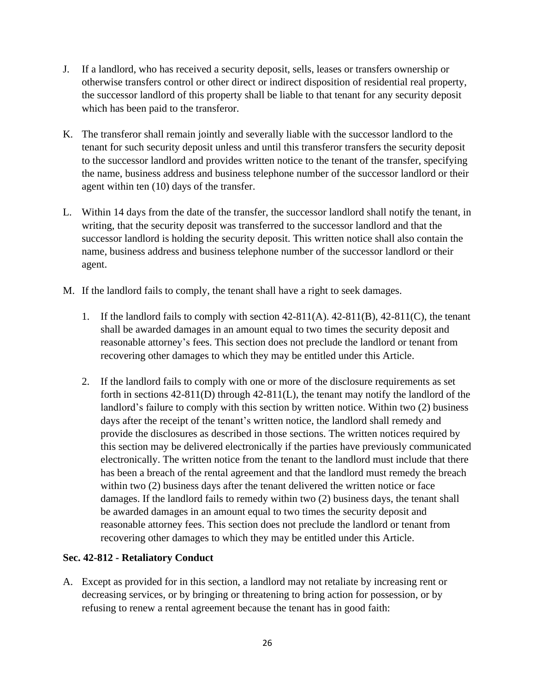- J. If a landlord, who has received a security deposit, sells, leases or transfers ownership or otherwise transfers control or other direct or indirect disposition of residential real property, the successor landlord of this property shall be liable to that tenant for any security deposit which has been paid to the transferor.
- K. The transferor shall remain jointly and severally liable with the successor landlord to the tenant for such security deposit unless and until this transferor transfers the security deposit to the successor landlord and provides written notice to the tenant of the transfer, specifying the name, business address and business telephone number of the successor landlord or their agent within ten (10) days of the transfer.
- L. Within 14 days from the date of the transfer, the successor landlord shall notify the tenant, in writing, that the security deposit was transferred to the successor landlord and that the successor landlord is holding the security deposit. This written notice shall also contain the name, business address and business telephone number of the successor landlord or their agent.
- M. If the landlord fails to comply, the tenant shall have a right to seek damages.
	- 1. If the landlord fails to comply with section 42-811(A). 42-811(B), 42-811(C), the tenant shall be awarded damages in an amount equal to two times the security deposit and reasonable attorney's fees. This section does not preclude the landlord or tenant from recovering other damages to which they may be entitled under this Article.
	- 2. If the landlord fails to comply with one or more of the disclosure requirements as set forth in sections 42-811(D) through 42-811(L), the tenant may notify the landlord of the landlord's failure to comply with this section by written notice. Within two (2) business days after the receipt of the tenant's written notice, the landlord shall remedy and provide the disclosures as described in those sections. The written notices required by this section may be delivered electronically if the parties have previously communicated electronically. The written notice from the tenant to the landlord must include that there has been a breach of the rental agreement and that the landlord must remedy the breach within two (2) business days after the tenant delivered the written notice or face damages. If the landlord fails to remedy within two (2) business days, the tenant shall be awarded damages in an amount equal to two times the security deposit and reasonable attorney fees. This section does not preclude the landlord or tenant from recovering other damages to which they may be entitled under this Article.

## **Sec. 42-812 - Retaliatory Conduct**

A. Except as provided for in this section, a landlord may not retaliate by increasing rent or decreasing services, or by bringing or threatening to bring action for possession, or by refusing to renew a rental agreement because the tenant has in good faith: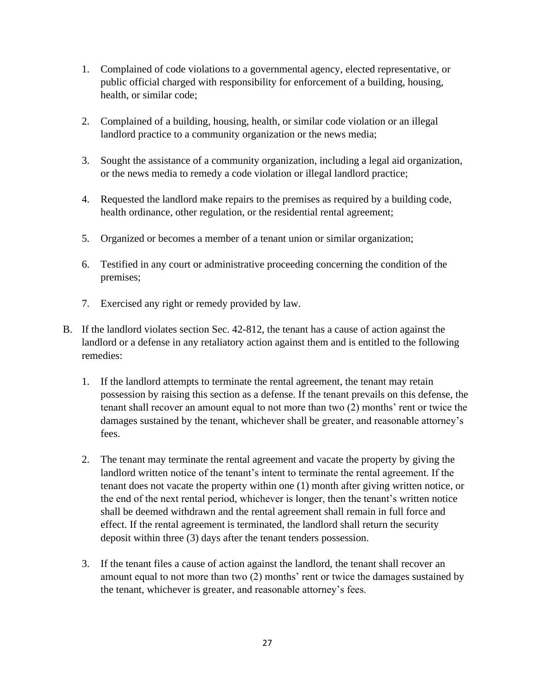- 1. Complained of code violations to a governmental agency, elected representative, or public official charged with responsibility for enforcement of a building, housing, health, or similar code;
- 2. Complained of a building, housing, health, or similar code violation or an illegal landlord practice to a community organization or the news media;
- 3. Sought the assistance of a community organization, including a legal aid organization, or the news media to remedy a code violation or illegal landlord practice;
- 4. Requested the landlord make repairs to the premises as required by a building code, health ordinance, other regulation, or the residential rental agreement;
- 5. Organized or becomes a member of a tenant union or similar organization;
- 6. Testified in any court or administrative proceeding concerning the condition of the premises;
- 7. Exercised any right or remedy provided by law.
- B. If the landlord violates section Sec. 42-812, the tenant has a cause of action against the landlord or a defense in any retaliatory action against them and is entitled to the following remedies:
	- 1. If the landlord attempts to terminate the rental agreement, the tenant may retain possession by raising this section as a defense. If the tenant prevails on this defense, the tenant shall recover an amount equal to not more than two (2) months' rent or twice the damages sustained by the tenant, whichever shall be greater, and reasonable attorney's fees.
	- 2. The tenant may terminate the rental agreement and vacate the property by giving the landlord written notice of the tenant's intent to terminate the rental agreement. If the tenant does not vacate the property within one (1) month after giving written notice, or the end of the next rental period, whichever is longer, then the tenant's written notice shall be deemed withdrawn and the rental agreement shall remain in full force and effect. If the rental agreement is terminated, the landlord shall return the security deposit within three (3) days after the tenant tenders possession.
	- 3. If the tenant files a cause of action against the landlord, the tenant shall recover an amount equal to not more than two (2) months' rent or twice the damages sustained by the tenant, whichever is greater, and reasonable attorney's fees.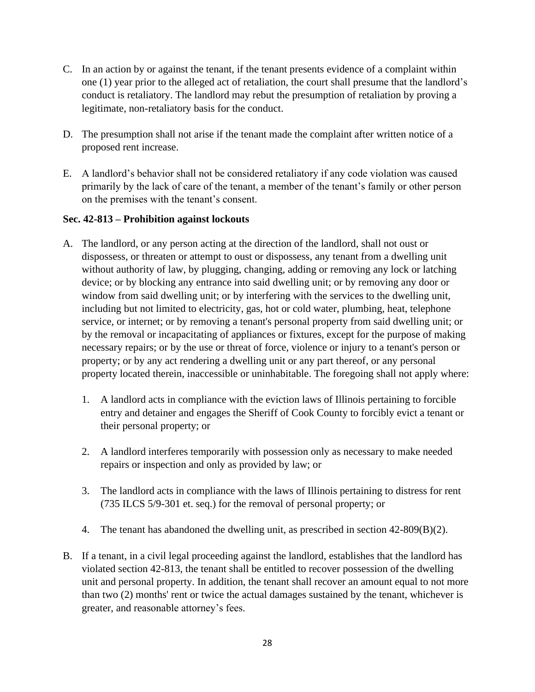- C. In an action by or against the tenant, if the tenant presents evidence of a complaint within one (1) year prior to the alleged act of retaliation, the court shall presume that the landlord's conduct is retaliatory. The landlord may rebut the presumption of retaliation by proving a legitimate, non-retaliatory basis for the conduct.
- D. The presumption shall not arise if the tenant made the complaint after written notice of a proposed rent increase.
- E. A landlord's behavior shall not be considered retaliatory if any code violation was caused primarily by the lack of care of the tenant, a member of the tenant's family or other person on the premises with the tenant's consent.

### **Sec. 42-813 – Prohibition against lockouts**

- A. The landlord, or any person acting at the direction of the landlord, shall not oust or dispossess, or threaten or attempt to oust or dispossess, any tenant from a dwelling unit without authority of law, by plugging, changing, adding or removing any lock or latching device; or by blocking any entrance into said dwelling unit; or by removing any door or window from said dwelling unit; or by interfering with the services to the dwelling unit, including but not limited to electricity, gas, hot or cold water, plumbing, heat, telephone service, or internet; or by removing a tenant's personal property from said dwelling unit; or by the removal or incapacitating of appliances or fixtures, except for the purpose of making necessary repairs; or by the use or threat of force, violence or injury to a tenant's person or property; or by any act rendering a dwelling unit or any part thereof, or any personal property located therein, inaccessible or uninhabitable. The foregoing shall not apply where:
	- 1. A landlord acts in compliance with the eviction laws of Illinois pertaining to forcible entry and detainer and engages the Sheriff of Cook County to forcibly evict a tenant or their personal property; or
	- 2. A landlord interferes temporarily with possession only as necessary to make needed repairs or inspection and only as provided by law; or
	- 3. The landlord acts in compliance with the laws of Illinois pertaining to distress for rent (735 ILCS 5/9-301 et. seq.) for the removal of personal property; or
	- 4. The tenant has abandoned the dwelling unit, as prescribed in section 42-809(B)(2).
- B. If a tenant, in a civil legal proceeding against the landlord, establishes that the landlord has violated section 42-813, the tenant shall be entitled to recover possession of the dwelling unit and personal property. In addition, the tenant shall recover an amount equal to not more than two (2) months' rent or twice the actual damages sustained by the tenant, whichever is greater, and reasonable attorney's fees.